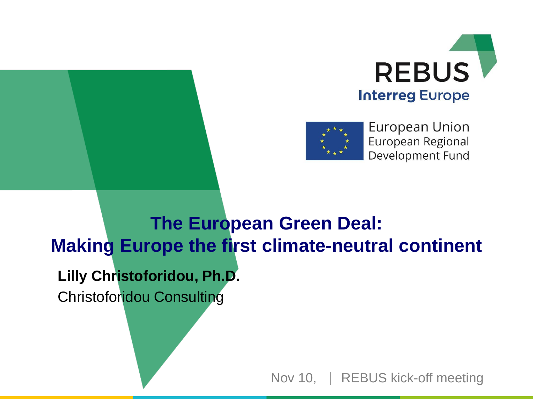



European Union European Regional Development Fund

**Lilly Christoforidou, Ph.D.** Christoforidou Consulting **The European Green Deal: Making Europe the first climate-neutral continent**

Nov 10, | REBUS kick-off meeting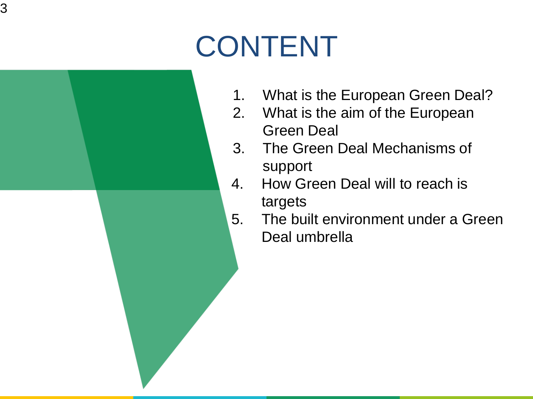## CONTENT



- 1. What is the European Green Deal?
- 2. What is the aim of the European Green Deal
- 3. The Green Deal Mechanisms of support
- 4. How Green Deal will to reach is targets
- 5. The built environment under a Green Deal umbrella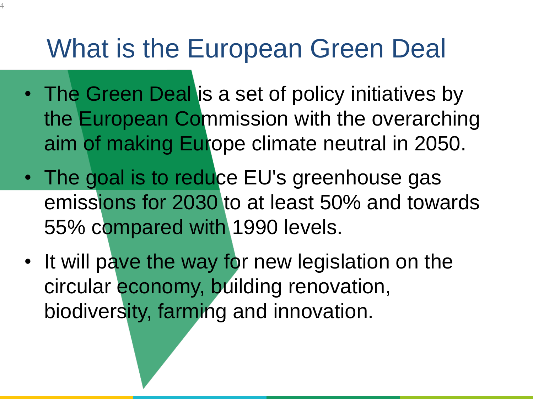#### What is the European Green Deal

4

- The Green Deal is a set of policy initiatives by the European Commission with the overarching aim of making Europe climate neutral in 2050.
- The goal is to reduce EU's greenhouse gas emissions for 2030 to at least 50% and towards 55% compared with 1990 levels.
- It will pave the way for new legislation on the circular economy, building renovation, biodiversity, farming and innovation.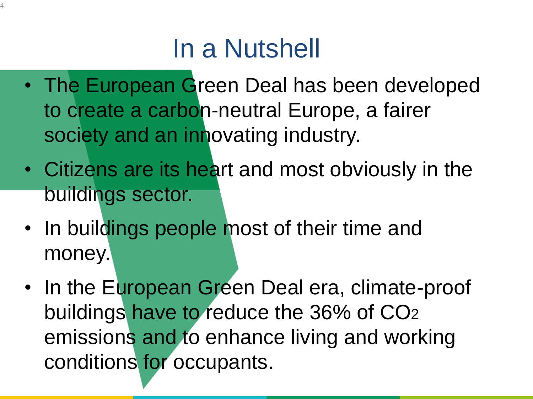## In a Nutshell

- The European Green Deal has been developed to create a carbon-neutral Europe, a fairer society and an innovating industry.
- Citizens are its heart and most obviously in the buildings sector.
- In buildings people most of their time and money.
- In the European Green Deal era, climate-proof buildings have to reduce the 36% of CO2 emissions and to enhance living and working conditions for occupants.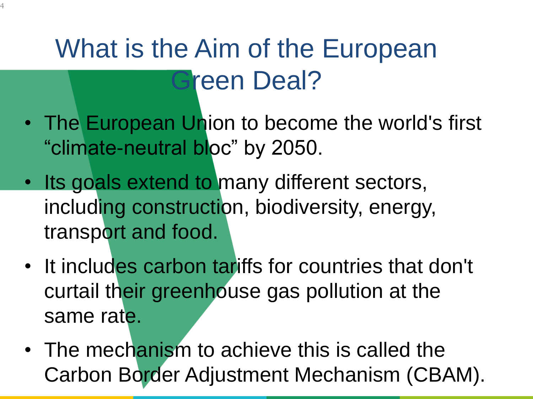## What is the Aim of the European Green Deal?

- The European Union to become the world's first "climate-neutral bloc" by 2050.
- Its goals extend to many different sectors, including construction, biodiversity, energy, transport and food.
- It includes carbon tariffs for countries that don't curtail their greenhouse gas pollution at the same rate.
- The mechanism to achieve this is called the Carbon Border Adjustment Mechanism (CBAM).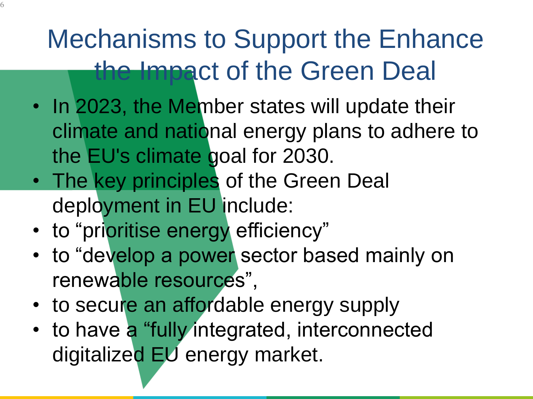#### Mechanisms to Support the Enhance the Impact of the Green Deal

- In 2023, the Member states will update their climate and national energy plans to adhere to the EU's climate goal for 2030.
- The key principles of the Green Deal deployment in EU include:
- to "prioritise energy efficiency"

6

- to "develop a power sector based mainly on renewable resources",
- to secure an affordable energy supply
- to have a "fully integrated, interconnected digitalized EU energy market.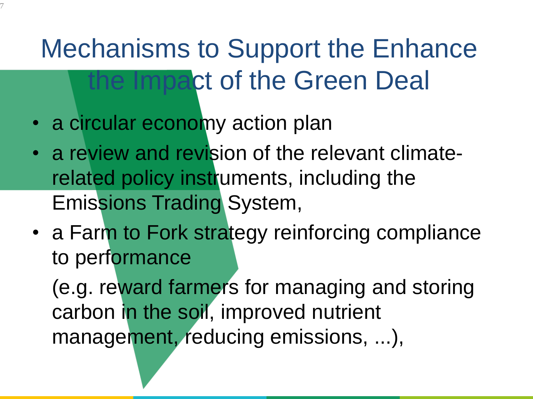## Mechanisms to Support the Enhance the Impact of the Green Deal

• a circular economy action plan

7

- a review and revision of the relevant climaterelated policy instruments, including the Emissions Trading System,
- a Farm to Fork strategy reinforcing compliance to performance

(e.g. reward farmers for managing and storing carbon in the soil, improved nutrient management, reducing emissions, ...),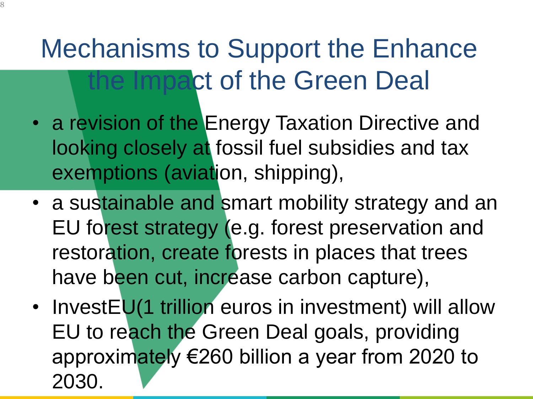## Mechanisms to Support the Enhance the Impact of the Green Deal

- a revision of the Energy Taxation Directive and looking closely at fossil fuel subsidies and tax exemptions (aviation, shipping),
- a sustainable and smart mobility strategy and an EU forest strategy (e.g. forest preservation and restoration, create forests in places that trees have been cut, increase carbon capture),
- InvestEU(1 trillion euros in investment) will allow EU to reach the Green Deal goals, providing approximately €260 billion a year from 2020 to 2030.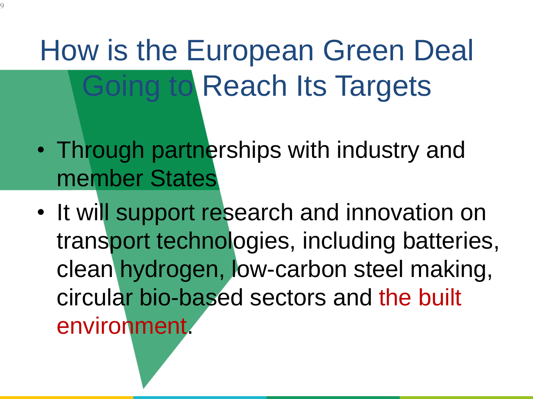How is the European Green Deal Going to Reach Its Targets

- Through partnerships with industry and member States
- It will support research and innovation on transport technologies, including batteries, clean hydrogen, low-carbon steel making, circular bio-based sectors and the built environment.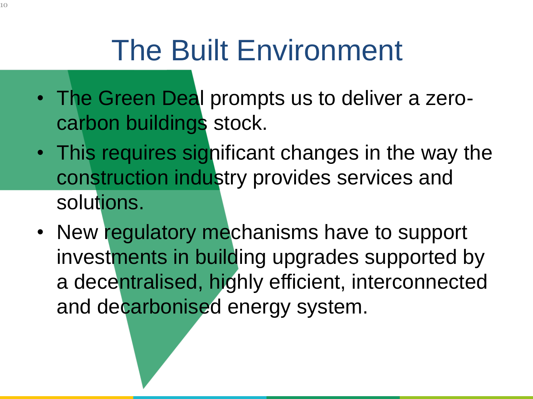## The Built Environment

- The Green Deal prompts us to deliver a zerocarbon buildings stock.
- This requires significant changes in the way the construction industry provides services and solutions.
- New regulatory mechanisms have to support investments in building upgrades supported by a decentralised, highly efficient, interconnected and decarbonised energy system.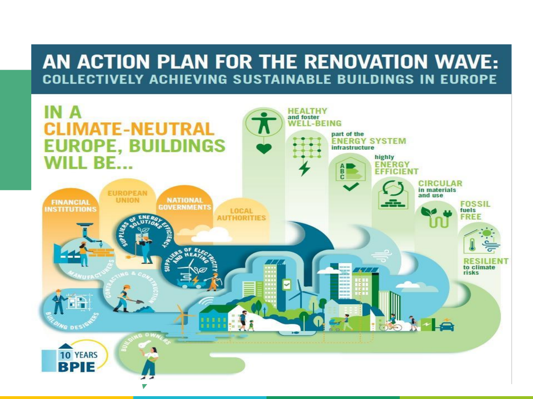#### AN ACTION PLAN FOR THE RENOVATION WAVE: **COLLECTIVELY ACHIEVING SUSTAINABLE BUILDINGS IN EUROPE**

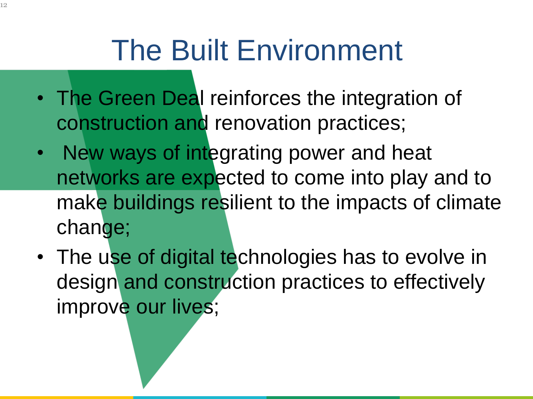## The Built Environment

- The Green Deal reinforces the integration of construction and renovation practices;
- New ways of integrating power and heat networks are expected to come into play and to make buildings resilient to the impacts of climate change;
- The use of digital technologies has to evolve in design and construction practices to effectively improve our lives;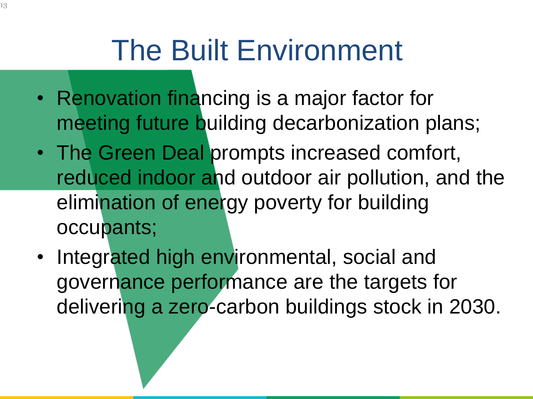## The Built Environment

- Renovation financing is a major factor for meeting future building decarbonization plans;
- The Green Deal prompts increased comfort, reduced indoor and outdoor air pollution, and the elimination of energy poverty for building occupants;
- Integrated high environmental, social and governance performance are the targets for delivering a zero-carbon buildings stock in 2030.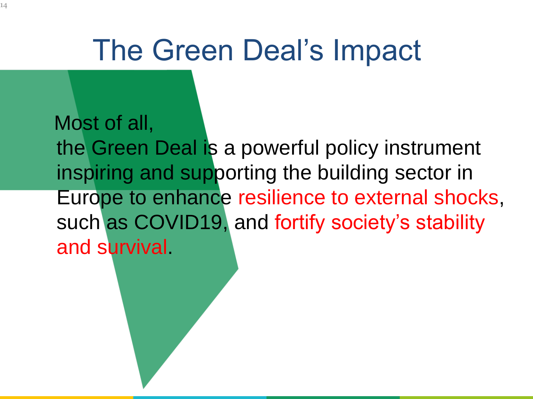## The Green Deal's Impact

Most of all, the Green Deal is a powerful policy instrument inspiring and supporting the building sector in Europe to enhance resilience to external shocks, such as COVID19, and fortify society's stability and survival.